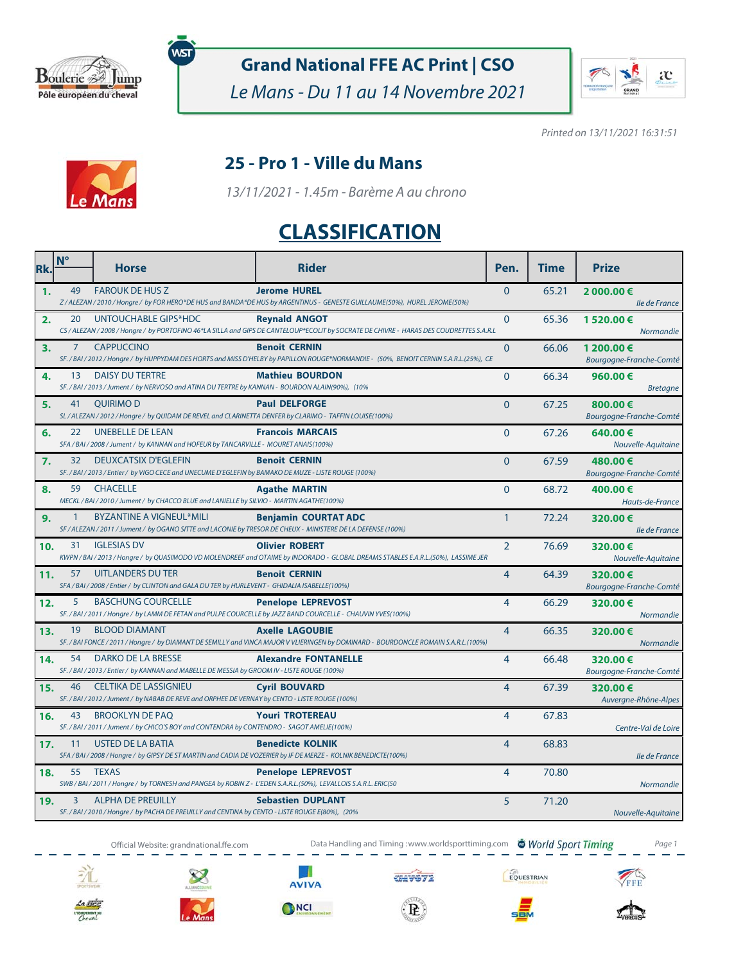

**Grand National FFE AC Print | CSO**

Le Mans - Du 11 au 14 Novembre 2021



Printed on 13/11/2021 16:31:51



### **25 - Pro 1 - Ville du Mans**

13/11/2021 - 1.45m - Barème A au chrono

# **CLASSIFICATION**

| Rk. | $N^{\circ}$    | <b>Horse</b>                                                                                                                                    | <b>Rider</b>                                                                                                                                                    | Pen.           | <b>Time</b> | <b>Prize</b>                          |
|-----|----------------|-------------------------------------------------------------------------------------------------------------------------------------------------|-----------------------------------------------------------------------------------------------------------------------------------------------------------------|----------------|-------------|---------------------------------------|
| 1.  | 49             | <b>FAROUK DE HUS Z</b>                                                                                                                          | <b>Jerome HUREL</b><br>Z / ALEZAN / 2010 / Hongre / by FOR HERO*DE HUS and BANDA*DE HUS by ARGENTINUS - GENESTE GUILLAUME(50%), HUREL JEROME(50%)               | $\Omega$       | 65.21       | 2 000.00 €<br>Ile de France           |
| 2.  | 20             | UNTOUCHABLE GIPS*HDC                                                                                                                            | <b>Revnald ANGOT</b><br>CS / ALEZAN / 2008 / Hongre / by PORTOFINO 46*LA SILLA and GIPS DE CANTELOUP*ECOLIT by SOCRATE DE CHIVRE - HARAS DES COUDRETTES S.A.R.L | $\Omega$       | 65.36       | 1520.00€<br>Normandie                 |
| 3.  | $\overline{7}$ | <b>CAPPUCCINO</b>                                                                                                                               | <b>Benoit CERNIN</b><br>SF. / BAI / 2012 / Hongre / by HUPPYDAM DES HORTS and MISS D'HELBY by PAPILLON ROUGE*NORMANDIE - (50%, BENOIT CERNIN S.A.R.L.(25%), CE  | $\mathbf{0}$   | 66.06       | 1 200.00 €<br>Bourgogne-Franche-Comté |
| 4.  | 13             | DAISY DU TERTRE<br>SF./BAI/2013/Jument/ by NERVOSO and ATINA DU TERTRE by KANNAN - BOURDON ALAIN(90%), (10%                                     | <b>Mathieu BOURDON</b>                                                                                                                                          | $\mathbf{0}$   | 66.34       | 960.00€<br><b>Bretagne</b>            |
| 5.  | 41             | <b>OUIRIMOD</b><br>SL / ALEZAN / 2012 / Hongre / by QUIDAM DE REVEL and CLARINETTA DENFER by CLARIMO - TAFFIN LOUISE(100%)                      | <b>Paul DELFORGE</b>                                                                                                                                            | $\Omega$       | 67.25       | 800.00€<br>Bourgogne-Franche-Comté    |
| 6.  | 22             | UNEBELLE DE LEAN<br>SFA / BAI / 2008 / Jument / by KANNAN and HOFEUR by TANCARVILLE - MOURET ANAIS(100%)                                        | <b>Francois MARCAIS</b>                                                                                                                                         | $\Omega$       | 67.26       | 640.00€<br>Nouvelle-Aquitaine         |
| 7.  | 32             | <b>DEUXCATSIX D'EGLEFIN</b><br>SF. / BAI / 2013 / Entier / by VIGO CECE and UNECUME D'EGLEFIN by BAMAKO DE MUZE - LISTE ROUGE (100%)            | <b>Benoit CERNIN</b>                                                                                                                                            | $\Omega$       | 67.59       | 480.00€<br>Bourgogne-Franche-Comté    |
| 8.  |                | 59 CHACELLE<br>MECKL / BAI / 2010 / Jument / by CHACCO BLUE and LANIELLE by SILVIO - MARTIN AGATHE(100%)                                        | <b>Agathe MARTIN</b>                                                                                                                                            | $\overline{0}$ | 68.72       | 400.00€<br>Hauts-de-France            |
| 9.  | $\mathbf{1}$   | <b>BYZANTINE A VIGNEUL*MILI</b><br>SF / ALEZAN / 2011 / Jument / by OGANO SITTE and LACONIE by TRESOR DE CHEUX - MINISTERE DE LA DEFENSE (100%) | <b>Benjamin COURTAT ADC</b>                                                                                                                                     | $\mathbf{1}$   | 72.24       | 320.00€<br>Ile de France              |
| 10. | 31             | <b>IGLESIAS DV</b>                                                                                                                              | <b>Olivier ROBERT</b><br>KWPN / BAI / 2013 / Hongre / by QUASIMODO VD MOLENDREEF and OTAIME by INDORADO - GLOBAL DREAMS STABLES E.A.R.L.(50%), LASSIME JER      | $\overline{2}$ | 76.69       | 320.00€<br>Nouvelle-Aquitaine         |
| 11. | 57             | UITLANDERS DU TER<br>SFA / BAI / 2008 / Entier / by CLINTON and GALA DU TER by HURLEVENT - GHIDALIA ISABELLE(100%)                              | <b>Benoit CERNIN</b>                                                                                                                                            | $\overline{4}$ | 64.39       | 320.00€<br>Bourgogne-Franche-Comté    |
| 12. | 5              | <b>BASCHUNG COURCELLE</b><br>SF. / BAI / 2011 / Hongre / by LAMM DE FETAN and PULPE COURCELLE by JAZZ BAND COURCELLE - CHAUVIN YVES(100%)       | <b>Penelope LEPREVOST</b>                                                                                                                                       | $\overline{4}$ | 66.29       | 320.00€<br>Normandie                  |
| 13. | 19             | <b>BLOOD DIAMANT</b>                                                                                                                            | <b>Axelle LAGOUBIE</b><br>SF. / BAI FONCE / 2011 / Hongre / by DIAMANT DE SEMILLY and VINCA MAJOR V VLIERINGEN by DOMINARD - BOURDONCLE ROMAIN S.A.R.L.(100%)   | $\overline{4}$ | 66.35       | 320.00€<br><b>Normandie</b>           |
| 14. | 54             | DARKO DE LA BRESSE<br>SF. / BAI / 2013 / Entier / by KANNAN and MABELLE DE MESSIA by GROOM IV - LISTE ROUGE (100%)                              | <b>Alexandre FONTANELLE</b>                                                                                                                                     | 4              | 66.48       | 320.00€<br>Bourgogne-Franche-Comté    |
| 15. | 46             | <b>CELTIKA DE LASSIGNIEU</b><br>SF. / BAI / 2012 / Jument / by NABAB DE REVE and ORPHEE DE VERNAY by CENTO - LISTE ROUGE (100%)                 | <b>Cyril BOUVARD</b>                                                                                                                                            | 4              | 67.39       | 320.00€<br>Auvergne-Rhône-Alpes       |
| 16. | 43             | <b>BROOKLYN DE PAO</b><br>SF./BAI/2011/Jument/ by CHICO'S BOY and CONTENDRA by CONTENDRO - SAGOT AMELIE(100%)                                   | <b>Youri TROTEREAU</b>                                                                                                                                          | $\overline{4}$ | 67.83       | Centre-Val de Loire                   |
| 17. | 11             | USTED DE LA BATIA<br>SFA / BAI / 2008 / Hongre / by GIPSY DE ST MARTIN and CADIA DE VOZERIER by IF DE MERZE - KOLNIK BENEDICTE(100%)            | <b>Benedicte KOLNIK</b>                                                                                                                                         | $\overline{4}$ | 68.83       | Ile de France                         |
| 18. | 55             | <b>TEXAS</b><br>SWB / BAI / 2011 / Hongre / by TORNESH and PANGEA by ROBIN Z - L'EDEN S.A.R.L.(50%), LEVALLOIS S.A.R.L. ERIC(50                 | <b>Penelope LEPREVOST</b>                                                                                                                                       | $\overline{4}$ | 70.80       | Normandie                             |
| 19. | 3              | <b>ALPHA DE PREUILLY</b><br>SF. / BAI / 2010 / Hongre / by PACHA DE PREUILLY and CENTINA by CENTO - LISTE ROUGE E(80%), (20%                    | <b>Sebastien DUPLANT</b>                                                                                                                                        | 5              | 71.20       | Nouvelle-Aquitaine                    |

Official Website: grandnational.ffe.com Data Handling and Timing :www.worldsporttiming.com World Sport Timing Page 1









**CHIV672** 

 $\langle {\bf R} \rangle$ 

EQUESTRIAN







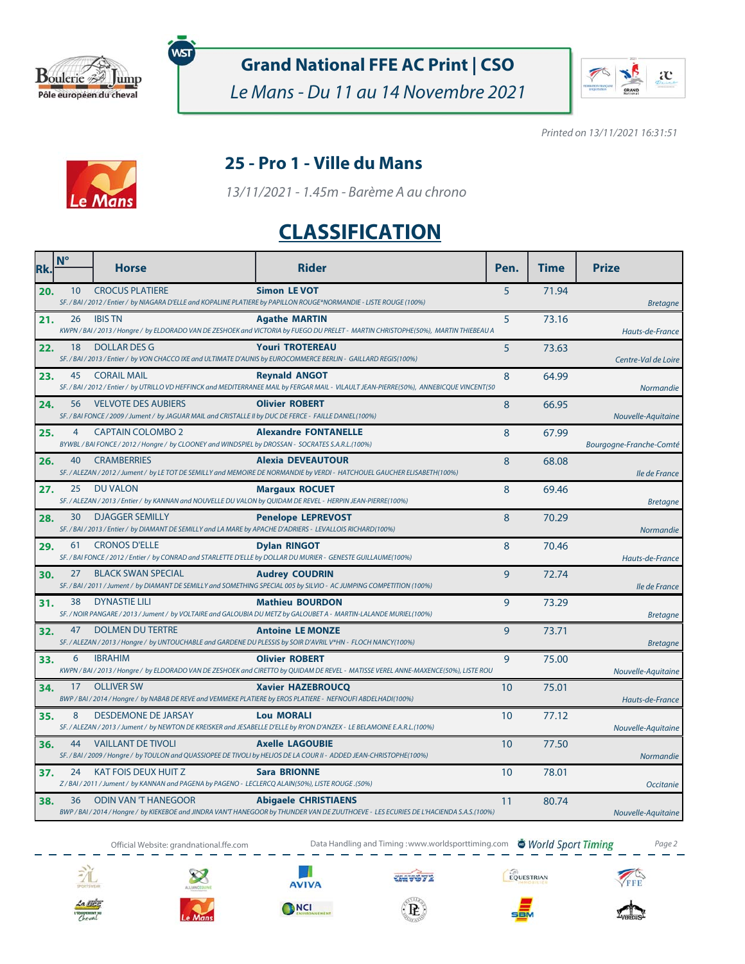

**Grand National FFE AC Print | CSO**

Le Mans - Du 11 au 14 Novembre 2021



Printed on 13/11/2021 16:31:51



### **25 - Pro 1 - Ville du Mans**

13/11/2021 - 1.45m - Barème A au chrono

# **CLASSIFICATION**

| Rk. | $N^{\circ}$ | <b>Horse</b>                                                                                                                           | <b>Rider</b>                                                                                                                                                          | Pen. | <b>Time</b> | <b>Prize</b>            |
|-----|-------------|----------------------------------------------------------------------------------------------------------------------------------------|-----------------------------------------------------------------------------------------------------------------------------------------------------------------------|------|-------------|-------------------------|
| 20. | 10          | <b>CROCUS PLATIERE</b>                                                                                                                 | <b>Simon LE VOT</b><br>SF. / BAI / 2012 / Entier / by NIAGARA D'ELLE and KOPALINE PLATIERE by PAPILLON ROUGE*NORMANDIE - LISTE ROUGE (100%)                           | 5    | 71.94       | <b>Bretagne</b>         |
| 21. | 26          | <b>IBIS TN</b>                                                                                                                         | <b>Agathe MARTIN</b><br>KWPN / BAI / 2013 / Hongre / by ELDORADO VAN DE ZESHOEK and VICTORIA by FUEGO DU PRELET - MARTIN CHRISTOPHE(50%), MARTIN THIEBEAU A           | 5    | 73.16       | Hauts-de-France         |
| 22. | 18          | <b>DOLLAR DES G</b>                                                                                                                    | <b>Youri TROTEREAU</b><br>SF. / BAI / 2013 / Entier / by VON CHACCO IXE and ULTIMATE D'AUNIS by EUROCOMMERCE BERLIN - GAILLARD REGIS(100%)                            | 5    | 73.63       | Centre-Val de Loire     |
| 23. | 45          | <b>CORAIL MAIL</b>                                                                                                                     | <b>Reynald ANGOT</b><br>SF. / BAI / 2012 / Entier / by UTRILLO VD HEFFINCK and MEDITERRANEE MAIL by FERGAR MAIL - VILAULT JEAN-PIERRE(50%), ANNEBICQUE VINCENT(50     | 8    | 64.99       | <b>Normandie</b>        |
| 24. | 56          | <b>VELVOTE DES AUBIERS</b><br>SF. / BAI FONCE / 2009 / Jument / by JAGUAR MAIL and CRISTALLE II by DUC DE FERCE - FAILLE DANIEL(100%)  | <b>Olivier ROBERT</b>                                                                                                                                                 | 8    | 66.95       | Nouvelle-Aquitaine      |
| 25. | 4           | <b>CAPTAIN COLOMBO 2</b><br>BYWBL / BAI FONCE / 2012 / Hongre / by CLOONEY and WINDSPIEL by DROSSAN - SOCRATES S.A.R.L.(100%)          | <b>Alexandre FONTANELLE</b>                                                                                                                                           | 8    | 67.99       | Bourgogne-Franche-Comté |
| 26. | 40          | <b>CRAMBERRIES</b>                                                                                                                     | <b>Alexia DEVEAUTOUR</b><br>SF. / ALEZAN / 2012 / Jument / by LE TOT DE SEMILLY and MEMOIRE DE NORMANDIE by VERDI - HATCHOUEL GAUCHER ELISABETH(100%)                 | 8    | 68.08       | lle de France           |
| 27. | 25          | <b>DU VALON</b><br>SF. / ALEZAN / 2013 / Entier / by KANNAN and NOUVELLE DU VALON by QUIDAM DE REVEL - HERPIN JEAN-PIERRE(100%)        | <b>Margaux ROCUET</b>                                                                                                                                                 | 8    | 69.46       | <b>Bretagne</b>         |
| 28. | 30          | <b>DJAGGER SEMILLY</b><br>SF. / BAI / 2013 / Entier / by DIAMANT DE SEMILLY and LA MARE by APACHE D'ADRIERS - LEVALLOIS RICHARD(100%)  | <b>Penelope LEPREVOST</b>                                                                                                                                             | 8    | 70.29       | Normandie               |
| 29. | 61          | <b>CRONOS D'ELLE</b><br>SF. / BAI FONCE / 2012 / Entier / by CONRAD and STARLETTE D'ELLE by DOLLAR DU MURIER - GENESTE GUILLAUME(100%) | <b>Dylan RINGOT</b>                                                                                                                                                   | 8    | 70.46       | Hauts-de-France         |
| 30. | 27          | <b>BLACK SWAN SPECIAL</b>                                                                                                              | <b>Audrey COUDRIN</b><br>SF. / BAI / 2011 / Jument / by DIAMANT DE SEMILLY and SOMETHING SPECIAL 005 by SILVIO - AC JUMPING COMPETITION (100%)                        | 9    | 72.74       | Ile de France           |
| 31. | 38          | <b>DYNASTIE LILI</b>                                                                                                                   | <b>Mathieu BOURDON</b><br>SF. / NOIR PANGARE / 2013 / Jument / by VOLTAIRE and GALOUBIA DU METZ by GALOUBET A - MARTIN-LALANDE MURIEL(100%)                           | 9    | 73.29       | <b>Bretagne</b>         |
| 32. | 47          | <b>DOLMEN DU TERTRE</b>                                                                                                                | <b>Antoine LE MONZE</b><br>SF. / ALEZAN / 2013 / Hongre / by UNTOUCHABLE and GARDENE DU PLESSIS by SOIR D'AVRIL V*HN - FLOCH NANCY(100%)                              | 9    | 73.71       | <b>Bretagne</b>         |
| 33. | 6           | <b>IBRAHIM</b>                                                                                                                         | <b>Olivier ROBERT</b><br>KWPN / BAI / 2013 / Hongre / by ELDORADO VAN DE ZESHOEK and CIRETTO by QUIDAM DE REVEL - MATISSE VEREL ANNE-MAXENCE(50%), LISTE ROU          | 9    | 75.00       | Nouvelle-Aquitaine      |
| 34. | 17          | <b>OLLIVER SW</b><br>BWP / BAI / 2014 / Hongre / by NABAB DE REVE and VEMMEKE PLATIERE by EROS PLATIERE - NEFNOUFI ABDELHADI(100%)     | <b>Xavier HAZEBROUCO</b>                                                                                                                                              | 10   | 75.01       | Hauts-de-France         |
| 35. | 8           | <b>DESDEMONE DE JARSAY</b>                                                                                                             | <b>Lou MORALI</b><br>SF. / ALEZAN / 2013 / Jument / by NEWTON DE KREISKER and JESABELLE D'ELLE by RYON D'ANZEX - LE BELAMOINE E.A.R.L.(100%)                          | 10   | 77.12       | Nouvelle-Aquitaine      |
| 36. | 44          | <b>VAILLANT DE TIVOLI</b>                                                                                                              | <b>Axelle LAGOUBIE</b><br>SF. / BAI / 2009 / Hongre / by TOULON and QUASSIOPEE DE TIVOLI by HELIOS DE LA COUR II - ADDED JEAN-CHRISTOPHE(100%)                        | 10   | 77.50       | <b>Normandie</b>        |
| 37. | 24          | KAT FOIS DEUX HUIT Z<br>Z/BAI/2011/Jument/ by KANNAN and PAGENA by PAGENO - LECLERCQ ALAIN(50%), LISTE ROUGE.(50%)                     | <b>Sara BRIONNE</b>                                                                                                                                                   | 10   | 78.01       | <b>Occitanie</b>        |
| 38. | 36          | <b>ODIN VAN 'T HANEGOOR</b>                                                                                                            | <b>Abigaele CHRISTIAENS</b><br>BWP / BAI / 2014 / Hongre / by KIEKEBOE and JINDRA VAN'T HANEGOOR by THUNDER VAN DE ZUUTHOEVE - LES ECURIES DE L'HACIENDA S.A.S.(100%) | 11   | 80.74       | Nouvelle-Aquitaine      |















**SBM**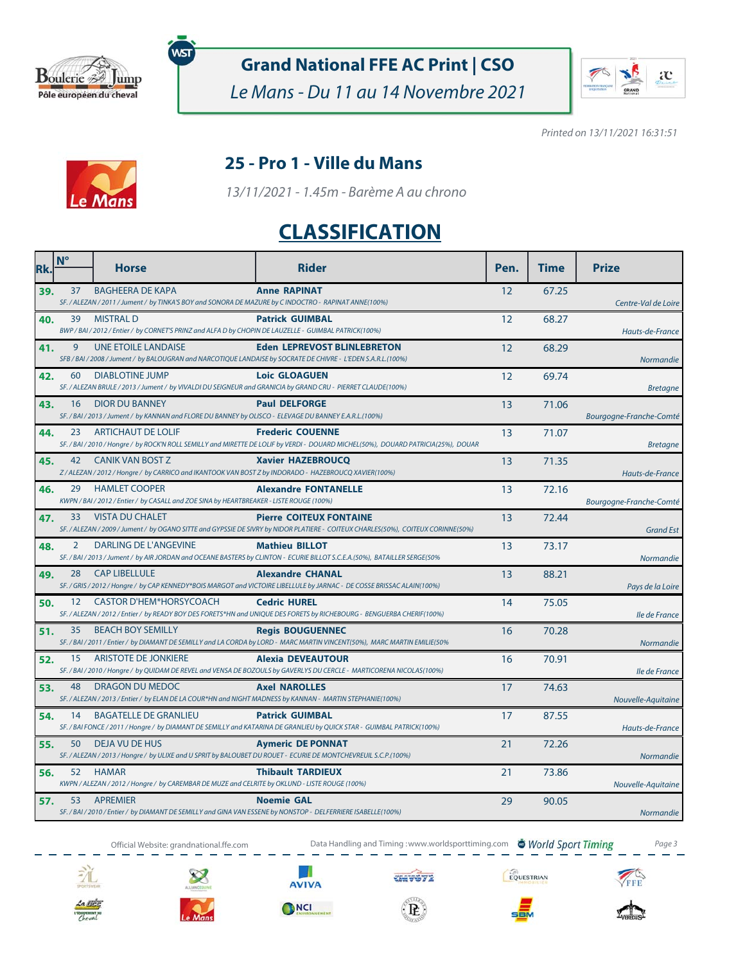

**Grand National FFE AC Print | CSO**

Le Mans - Du 11 au 14 Novembre 2021



Printed on 13/11/2021 16:31:51



### **25 - Pro 1 - Ville du Mans**

13/11/2021 - 1.45m - Barème A au chrono

# **CLASSIFICATION**

| Rk. | $N^{\circ}$ | <b>Horse</b>                                                                                                                                | <b>Rider</b>                                                                                                                                                        | Pen. | <b>Time</b> | <b>Prize</b>            |
|-----|-------------|---------------------------------------------------------------------------------------------------------------------------------------------|---------------------------------------------------------------------------------------------------------------------------------------------------------------------|------|-------------|-------------------------|
| 39. | 37          | <b>BAGHEERA DE KAPA</b><br>SF./ALEZAN/2011/Jument/ by TINKA'S BOY and SONORA DE MAZURE by C INDOCTRO - RAPINAT ANNE(100%)                   | <b>Anne RAPINAT</b>                                                                                                                                                 | 12   | 67.25       | Centre-Val de Loire     |
| 40. | 39          | <b>MISTRAL D</b><br>BWP / BAI / 2012 / Entier / by CORNET'S PRINZ and ALFA D by CHOPIN DE LAUZELLE - GUIMBAL PATRICK(100%)                  | <b>Patrick GUIMBAL</b>                                                                                                                                              | 12   | 68.27       | Hauts-de-France         |
| 41. | 9           | <b>UNE ETOILE LANDAISE</b><br>SFB / BAI / 2008 / Jument / by BALOUGRAN and NARCOTIQUE LANDAISE by SOCRATE DE CHIVRE - L'EDEN S.A.R.L.(100%) | <b>Eden LEPREVOST BLINLEBRETON</b>                                                                                                                                  | 12   | 68.29       | <b>Normandie</b>        |
| 42. | 60          | <b>DIABLOTINE JUMP</b><br>SF. / ALEZAN BRULE / 2013 / Jument / by VIVALDI DU SEIGNEUR and GRANICIA by GRAND CRU - PIERRET CLAUDE(100%)      | <b>Loic GLOAGUEN</b>                                                                                                                                                | 12   | 69.74       | <b>Bretagne</b>         |
| 43. | 16          | <b>DIOR DU BANNEY</b><br>SF. / BAI / 2013 / Jument / by KANNAN and FLORE DU BANNEY by OLISCO - ELEVAGE DU BANNEY E.A.R.L.(100%)             | <b>Paul DELFORGE</b>                                                                                                                                                | 13   | 71.06       | Bourgogne-Franche-Comté |
| 44. | 23          | ARTICHAUT DE LOLIF                                                                                                                          | <b>Frederic COUENNE</b><br>SF. / BAI / 2010 / Hongre / by ROCK'N ROLL SEMILLY and MIRETTE DE LOLIF by VERDI - DOUARD MICHEL(50%), DOUARD PATRICIA(25%), DOUAR       | 13   | 71.07       | <b>Bretagne</b>         |
| 45. | 42          | CANIK VAN BOST Z<br>Z / ALEZAN / 2012 / Hongre / by CARRICO and IKANTOOK VAN BOST Z by INDORADO - HAZEBROUCQ XAVIER(100%)                   | <b>Xavier HAZEBROUCO</b>                                                                                                                                            | 13   | 71.35       | Hauts-de-France         |
| 46. | 29          | <b>HAMLET COOPER</b><br>KWPN / BAI / 2012 / Entier / by CASALL and ZOE SINA by HEARTBREAKER - LISTE ROUGE (100%)                            | <b>Alexandre FONTANELLE</b>                                                                                                                                         | 13   | 72.16       | Bourgogne-Franche-Comté |
| 47. | 33          | <b>VISTA DU CHALET</b>                                                                                                                      | <b>Pierre COITEUX FONTAINE</b><br>SF. / ALEZAN / 2009 / Jument / by OGANO SITTE and GYPSSIE DE SIVRY by NIDOR PLATIERE - COITEUX CHARLES(50%), COITEUX CORINNE(50%) | 13   | 72.44       | <b>Grand Est</b>        |
| 48. | 2           | <b>DARLING DE L'ANGEVINE</b>                                                                                                                | <b>Mathieu BILLOT</b><br>SF. / BAI / 2013 / Jument / by AIR JORDAN and OCEANE BASTERS by CLINTON - ECURIE BILLOT S.C.E.A.(50%), BATAILLER SERGE(50%                 | 13   | 73.17       | Normandie               |
| 49. | 28          | <b>CAP LIBELLULE</b>                                                                                                                        | <b>Alexandre CHANAL</b><br>SF. / GRIS / 2012 / Hongre / by CAP KENNEDY*BOIS MARGOT and VICTOIRE LIBELLULE by JARNAC - DE COSSE BRISSAC ALAIN(100%)                  | 13   | 88.21       | Pays de la Loire        |
| 50. | 12          | <b>CASTOR D'HEM*HORSYCOACH</b>                                                                                                              | <b>Cedric HUREL</b><br>SF. / ALEZAN / 2012 / Entier / by READY BOY DES FORETS*HN and UNIQUE DES FORETS by RICHEBOURG - BENGUERBA CHERIF(100%)                       | 14   | 75.05       | Ile de France           |
| 51. | 35          | <b>BEACH BOY SEMILLY</b>                                                                                                                    | <b>Regis BOUGUENNEC</b><br>SF. / BAI / 2011 / Entier / by DIAMANT DE SEMILLY and LA CORDA by LORD - MARC MARTIN VINCENT(50%), MARC MARTIN EMILIE(50%                | 16   | 70.28       | <b>Normandie</b>        |
| 52. | 15          | ARISTOTE DE JONKIERE                                                                                                                        | <b>Alexia DEVEAUTOUR</b><br>SF. / BAI / 2010 / Hongre / by QUIDAM DE REVEL and VENSA DE BOZOULS by GAVERLYS DU CERCLE - MARTICORENA NICOLAS(100%)                   | 16   | 70.91       | Ile de France           |
| 53. | 48          | DRAGON DU MEDOC<br>SF. / ALEZAN / 2013 / Entier / by ELAN DE LA COUR*HN and NIGHT MADNESS by KANNAN - MARTIN STEPHANIE(100%)                | <b>Axel NAROLLES</b>                                                                                                                                                | 17   | 74.63       | Nouvelle-Aquitaine      |
| 54. | 14          | <b>BAGATELLE DE GRANLIEU</b>                                                                                                                | <b>Patrick GUIMBAL</b><br>SF. / BAI FONCE / 2011 / Hongre / by DIAMANT DE SEMILLY and KATARINA DE GRANLIEU by QUICK STAR - GUIMBAL PATRICK(100%)                    | 17   | 87.55       | Hauts-de-France         |
| 55. | 50          | <b>DEJA VU DE HUS</b><br>SF./ALEZAN/2013/Hongre/ by ULIXE and U SPRIT by BALOUBET DU ROUET - ECURIE DE MONTCHEVREUIL S.C.P.(100%)           | <b>Aymeric DE PONNAT</b>                                                                                                                                            | 21   | 72.26       | <b>Normandie</b>        |
| 56. | 52          | <b>HAMAR</b><br>KWPN / ALEZAN / 2012 / Hongre / by CAREMBAR DE MUZE and CELRITE by OKLUND - LISTE ROUGE (100%)                              | <b>Thibault TARDIEUX</b>                                                                                                                                            | 21   | 73.86       | Nouvelle-Aquitaine      |
| 57. | 53          | <b>APREMIER</b><br>SF. / BAI / 2010 / Entier / by DIAMANT DE SEMILLY and GINA VAN ESSENE by NONSTOP - DELFERRIERE ISABELLE(100%)            | <b>Noemie GAL</b>                                                                                                                                                   | 29   | 90.05       | <b>Normandie</b>        |

Official Website: grandnational.ffe.com Data Handling and Timing :www.worldsporttiming.com World Sport Timing Page 3

 $\frac{1}{2}$ 









EQUESTRIAN



 $\langle {\bf R} \rangle$